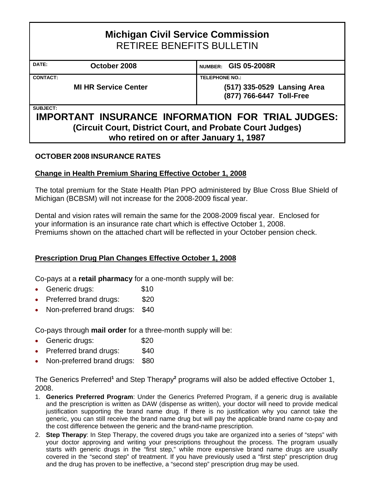# **Michigan Civil Service Commission**  RETIREE BENEFITS BULLETIN DATE: **October 2008** NUMBER: GIS 05-2008R **CONTACT: TELEPHONE NO.: MI HR Service Center (517) 335-0529 Lansing Area (877) 766-6447 Toll-Free SUBJECT:**

## **IMPORTANT INSURANCE INFORMATION FOR TRIAL JUDGES: (Circuit Court, District Court, and Probate Court Judges) who retired on or after January 1, 1987**

#### **OCTOBER 2008 INSURANCE RATES**

#### **Change in Health Premium Sharing Effective October 1, 2008**

The total premium for the State Health Plan PPO administered by Blue Cross Blue Shield of Michigan (BCBSM) will not increase for the 2008-2009 fiscal year.

Dental and vision rates will remain the same for the 2008-2009 fiscal year. Enclosed for your information is an insurance rate chart which is effective October 1, 2008. Premiums shown on the attached chart will be reflected in your October pension check.

#### **Prescription Drug Plan Changes Effective October 1, 2008**

Co-pays at a **retail pharmacy** for a one-month supply will be:

- Generic drugs: \$10
- Preferred brand drugs: \$20
- Non-preferred brand drugs: \$40

Co-pays through **mail order** for a three-month supply will be:

- Generic drugs: \$20
- Preferred brand drugs: \$40
- Non-preferred brand drugs: \$80

The Generics Preferred<sup>1</sup> and Step Therapy<sup>2</sup> programs will also be added effective October 1, 2008.

- 1. **Generics Preferred Program**: Under the Generics Preferred Program, if a generic drug is available and the prescription is written as DAW (dispense as written), your doctor will need to provide medical justification supporting the brand name drug. If there is no justification why you cannot take the generic, you can still receive the brand name drug but will pay the applicable brand name co-pay and the cost difference between the generic and the brand-name prescription.
- 2. **Step Therapy**: In Step Therapy, the covered drugs you take are organized into a series of "steps" with your doctor approving and writing your prescriptions throughout the process. The program usually starts with generic drugs in the "first step," while more expensive brand name drugs are usually covered in the "second step" of treatment. If you have previously used a "first step" prescription drug and the drug has proven to be ineffective, a "second step" prescription drug may be used.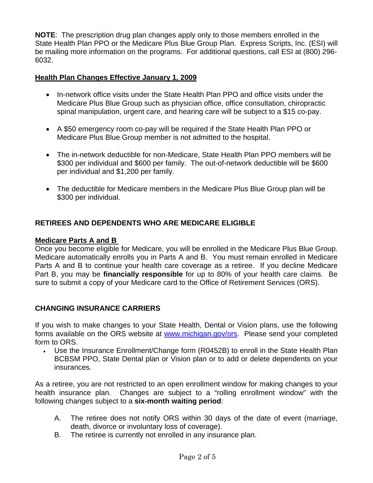**NOTE**: The prescription drug plan changes apply only to those members enrolled in the State Health Plan PPO or the Medicare Plus Blue Group Plan. Express Scripts, Inc. (ESI) will be mailing more information on the programs. For additional questions, call ESI at (800) 296- 6032.

#### **Health Plan Changes Effective January 1, 2009**

- In-network office visits under the State Health Plan PPO and office visits under the Medicare Plus Blue Group such as physician office, office consultation, chiropractic spinal manipulation, urgent care, and hearing care will be subject to a \$15 co-pay.
- A \$50 emergency room co-pay will be required if the State Health Plan PPO or Medicare Plus Blue Group member is not admitted to the hospital.
- The in-network deductible for non-Medicare, State Health Plan PPO members will be \$300 per individual and \$600 per family. The out-of-network deductible will be \$600 per individual and \$1,200 per family.
- The deductible for Medicare members in the Medicare Plus Blue Group plan will be \$300 per individual.

#### **RETIREES AND DEPENDENTS WHO ARE MEDICARE ELIGIBLE**

#### **Medicare Parts A and B**

Once you become eligible for Medicare, you will be enrolled in the Medicare Plus Blue Group. Medicare automatically enrolls you in Parts A and B. You must remain enrolled in Medicare Parts A and B to continue your health care coverage as a retiree. If you decline Medicare Part B, you may be **financially responsible** for up to 80% of your health care claims. Be sure to submit a copy of your Medicare card to the Office of Retirement Services (ORS).

#### **CHANGING INSURANCE CARRIERS**

If you wish to make changes to your State Health, Dental or Vision plans, use the following forms available on the ORS website at www.michigan.gov/ors. Please send your completed form to ORS.

• Use the Insurance Enrollment/Change form (R0452B) to enroll in the State Health Plan BCBSM PPO, State Dental plan or Vision plan or to add or delete dependents on your insurances.

As a retiree, you are not restricted to an open enrollment window for making changes to your health insurance plan. Changes are subject to a "rolling enrollment window" with the following changes subject to a **six-month waiting period**:

- A. The retiree does not notify ORS within 30 days of the date of event (marriage, death, divorce or involuntary loss of coverage).
- B. The retiree is currently not enrolled in any insurance plan.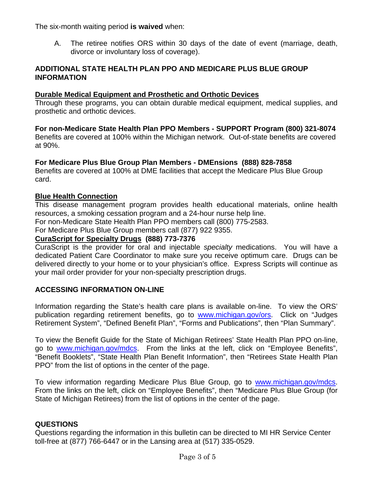The six-month waiting period **is waived** when:

A. The retiree notifies ORS within 30 days of the date of event (marriage, death, divorce or involuntary loss of coverage).

#### **ADDITIONAL STATE HEALTH PLAN PPO AND MEDICARE PLUS BLUE GROUP INFORMATION**

#### **Durable Medical Equipment and Prosthetic and Orthotic Devices**

Through these programs, you can obtain durable medical equipment, medical supplies, and prosthetic and orthotic devices.

**For non-Medicare State Health Plan PPO Members - SUPPORT Program (800) 321-8074**  Benefits are covered at 100% within the Michigan network. Out-of-state benefits are covered at 90%.

#### **For Medicare Plus Blue Group Plan Members - DMEnsions (888) 828-7858**

Benefits are covered at 100% at DME facilities that accept the Medicare Plus Blue Group card.

#### **Blue Health Connection**

This disease management program provides health educational materials, online health resources, a smoking cessation program and a 24-hour nurse help line.

For non-Medicare State Health Plan PPO members call (800) 775-2583.

For Medicare Plus Blue Group members call (877) 922 9355.

#### **CuraScript for Specialty Drugs (888) 773-7376**

CuraScript is the provider for oral and injectable *specialty* medications. You will have a dedicated Patient Care Coordinator to make sure you receive optimum care. Drugs can be delivered directly to your home or to your physician's office. Express Scripts will continue as your mail order provider for your non-specialty prescription drugs.

#### **ACCESSING INFORMATION ON-LINE**

Information regarding the State's health care plans is available on-line. To view the ORS' publication regarding retirement benefits, go to www.michigan.gov/ors. Click on "Judges Retirement System", "Defined Benefit Plan", "Forms and Publications", then "Plan Summary".

To view the Benefit Guide for the State of Michigan Retirees' State Health Plan PPO on-line, go to www.michigan.gov/mdcs. From the links at the left, click on "Employee Benefits", "Benefit Booklets", "State Health Plan Benefit Information", then "Retirees State Health Plan PPO" from the list of options in the center of the page.

To view information regarding Medicare Plus Blue Group, go to [www.michigan.gov/mdcs](http://www.michigan.gov/mdcs). From the links on the left, click on "Employee Benefits", then "Medicare Plus Blue Group (for State of Michigan Retirees) from the list of options in the center of the page.

#### **QUESTIONS**

Questions regarding the information in this bulletin can be directed to MI HR Service Center toll-free at (877) 766-6447 or in the Lansing area at (517) 335-0529.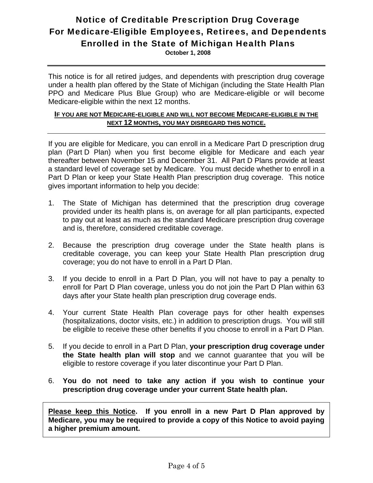## Notice of Creditable Prescription Drug Coverage For Medicare-Eligible Employees, Retirees, and Dependents Enrolled in the State of Michigan Health Plans

**October 1, 2008** 

This notice is for all retired judges, and dependents with prescription drug coverage under a health plan offered by the State of Michigan (including the State Health Plan PPO and Medicare Plus Blue Group) who are Medicare-eligible or will become Medicare-eligible within the next 12 months.

#### **IF YOU ARE NOT MEDICARE-ELIGIBLE AND WILL NOT BECOME MEDICARE-ELIGIBLE IN THE NEXT 12 MONTHS, YOU MAY DISREGARD THIS NOTICE.**

If you are eligible for Medicare, you can enroll in a Medicare Part D prescription drug plan (Part D Plan) when you first become eligible for Medicare and each year thereafter between November 15 and December 31. All Part D Plans provide at least a standard level of coverage set by Medicare. You must decide whether to enroll in a Part D Plan or keep your State Health Plan prescription drug coverage. This notice gives important information to help you decide:

- 1. The State of Michigan has determined that the prescription drug coverage provided under its health plans is, on average for all plan participants, expected to pay out at least as much as the standard Medicare prescription drug coverage and is, therefore, considered creditable coverage.
- 2. Because the prescription drug coverage under the State health plans is creditable coverage, you can keep your State Health Plan prescription drug coverage; you do not have to enroll in a Part D Plan.
- 3. If you decide to enroll in a Part D Plan, you will not have to pay a penalty to enroll for Part D Plan coverage, unless you do not join the Part D Plan within 63 days after your State health plan prescription drug coverage ends.
- 4. Your current State Health Plan coverage pays for other health expenses (hospitalizations, doctor visits, etc.) in addition to prescription drugs. You will still be eligible to receive these other benefits if you choose to enroll in a Part D Plan.
- 5. If you decide to enroll in a Part D Plan, **your prescription drug coverage under the State health plan will stop** and we cannot guarantee that you will be eligible to restore coverage if you later discontinue your Part D Plan.
- 6. **You do not need to take any action if you wish to continue your prescription drug coverage under your current State health plan.**

**Please keep this Notice. If you enroll in a new Part D Plan approved by Medicare, you may be required to provide a copy of this Notice to avoid paying a higher premium amount.**